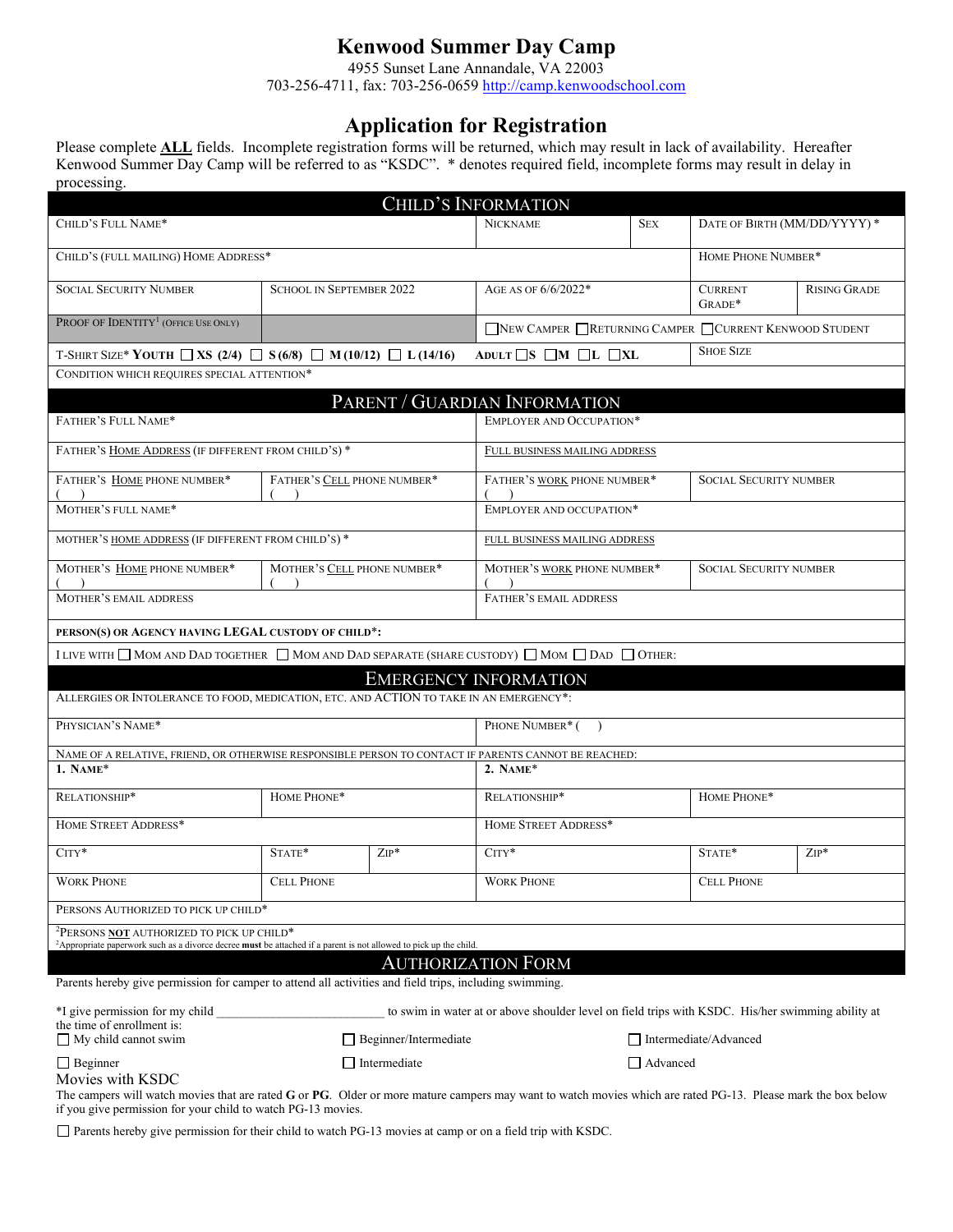# **Kenwood Summer Day Camp**

4955 Sunset Lane Annandale, VA 22003 703-256-4711, fax: 703-256-0659 [http://camp.kenwoodschool.com](http://camp.kenwoodschool.com/)

# **Application for Registration**

Please complete **ALL** fields. Incomplete registration forms will be returned, which may result in lack of availability. Hereafter Kenwood Summer Day Camp will be referred to as "KSDC". \* denotes required field, incomplete forms may result in delay in processing.

|                                                                                                                                                                                               |                                 |         | CHILD'S INFORMATION                                                                               |            |                               |                     |
|-----------------------------------------------------------------------------------------------------------------------------------------------------------------------------------------------|---------------------------------|---------|---------------------------------------------------------------------------------------------------|------------|-------------------------------|---------------------|
| CHILD'S FULL NAME*                                                                                                                                                                            |                                 |         | <b>NICKNAME</b>                                                                                   | <b>SEX</b> | DATE OF BIRTH (MM/DD/YYYY) *  |                     |
| CHILD'S (FULL MAILING) HOME ADDRESS*                                                                                                                                                          |                                 |         | HOME PHONE NUMBER*                                                                                |            |                               |                     |
| <b>SOCIAL SECURITY NUMBER</b>                                                                                                                                                                 | <b>SCHOOL IN SEPTEMBER 2022</b> |         | AGE AS OF 6/6/2022*                                                                               |            | <b>CURRENT</b><br>GRADE*      | <b>RISING GRADE</b> |
| PROOF OF IDENTITY <sup>1</sup> (OFFICE USE ONLY)                                                                                                                                              |                                 |         | NEW CAMPER RETURNING CAMPER CURRENT KENWOOD STUDENT                                               |            |                               |                     |
| T-SHIRT SIZE* YOUTH $\Box$ XS (2/4) $\Box$ S(6/8) $\Box$ M(10/12) $\Box$ L(14/16)                                                                                                             |                                 |         | <b>SHOE SIZE</b><br>ADULT $\Box$ S $\Box$ M $\Box$ L $\Box$ XL                                    |            |                               |                     |
| CONDITION WHICH REQUIRES SPECIAL ATTENTION*                                                                                                                                                   |                                 |         |                                                                                                   |            |                               |                     |
|                                                                                                                                                                                               |                                 |         | PARENT / GUARDIAN INFORMATION                                                                     |            |                               |                     |
| FATHER'S FULL NAME*                                                                                                                                                                           |                                 |         | <b>EMPLOYER AND OCCUPATION*</b>                                                                   |            |                               |                     |
| FATHER'S HOME ADDRESS (IF DIFFERENT FROM CHILD'S) *                                                                                                                                           |                                 |         | FULL BUSINESS MAILING ADDRESS                                                                     |            |                               |                     |
| FATHER'S HOME PHONE NUMBER*                                                                                                                                                                   | FATHER'S CELL PHONE NUMBER*     |         | FATHER'S WORK PHONE NUMBER*                                                                       |            | <b>SOCIAL SECURITY NUMBER</b> |                     |
| MOTHER'S FULL NAME*                                                                                                                                                                           |                                 |         | EMPLOYER AND OCCUPATION*                                                                          |            |                               |                     |
| MOTHER'S HOME ADDRESS (IF DIFFERENT FROM CHILD'S) *                                                                                                                                           |                                 |         | FULL BUSINESS MAILING ADDRESS                                                                     |            |                               |                     |
| MOTHER'S HOME PHONE NUMBER*                                                                                                                                                                   | MOTHER'S CELL PHONE NUMBER*     |         | MOTHER'S WORK PHONE NUMBER*                                                                       |            | <b>SOCIAL SECURITY NUMBER</b> |                     |
| <b>MOTHER'S EMAIL ADDRESS</b>                                                                                                                                                                 |                                 |         | FATHER'S EMAIL ADDRESS                                                                            |            |                               |                     |
| PERSON(S) OR AGENCY HAVING LEGAL CUSTODY OF CHILD*:                                                                                                                                           |                                 |         |                                                                                                   |            |                               |                     |
| I LIVE WITH $\Box$ MOM AND DAD TOGETHER $\Box$ MOM AND DAD SEPARATE (SHARE CUSTODY) $\Box$ MOM $\Box$ DAD $\Box$ OTHER:                                                                       |                                 |         |                                                                                                   |            |                               |                     |
|                                                                                                                                                                                               |                                 |         | <b>EMERGENCY INFORMATION</b>                                                                      |            |                               |                     |
| ALLERGIES OR INTOLERANCE TO FOOD, MEDICATION, ETC. AND ACTION TO TAKE IN AN EMERGENCY*:                                                                                                       |                                 |         |                                                                                                   |            |                               |                     |
| PHYSICIAN'S NAME*                                                                                                                                                                             |                                 |         | PHONE NUMBER* (                                                                                   |            |                               |                     |
| NAME OF A RELATIVE, FRIEND, OR OTHERWISE RESPONSIBLE PERSON TO CONTACT IF PARENTS CANNOT BE REACHED:                                                                                          |                                 |         |                                                                                                   |            |                               |                     |
| 1. NAME*                                                                                                                                                                                      |                                 |         | 2. NAME*                                                                                          |            |                               |                     |
| RELATIONSHIP*                                                                                                                                                                                 | HOME PHONE*                     |         | RELATIONSHIP*                                                                                     |            | HOME PHONE*                   |                     |
| HOME STREET ADDRESS*                                                                                                                                                                          |                                 |         | HOME STREET ADDRESS*                                                                              |            |                               |                     |
| $CITY*$                                                                                                                                                                                       | STATE*                          | $ZIP^*$ | $CITY^*$                                                                                          |            | STATE*                        | $ZIP^*$             |
| <b>WORK PHONE</b>                                                                                                                                                                             | <b>CELL PHONE</b>               |         | <b>WORK PHONE</b>                                                                                 |            | <b>CELL PHONE</b>             |                     |
| PERSONS AUTHORIZED TO PICK UP CHILD*                                                                                                                                                          |                                 |         |                                                                                                   |            |                               |                     |
| <sup>2</sup> PERSONS <b>NOT</b> AUTHORIZED TO PICK UP CHILD*<br><sup>2</sup> Appropriate paperwork such as a divorce decree must be attached if a parent is not allowed to pick up the child. |                                 |         |                                                                                                   |            |                               |                     |
|                                                                                                                                                                                               |                                 |         | <b>AUTHORIZATION FORM</b>                                                                         |            |                               |                     |
| Parents hereby give permission for camper to attend all activities and field trips, including swimming.                                                                                       |                                 |         |                                                                                                   |            |                               |                     |
| *I give permission for my child                                                                                                                                                               |                                 |         | to swim in water at or above shoulder level on field trips with KSDC. His/her swimming ability at |            |                               |                     |
| the time of enrollment is:                                                                                                                                                                    |                                 |         |                                                                                                   |            |                               |                     |
| $\Box$ My child cannot swim                                                                                                                                                                   | $\Box$ Beginner/Intermediate    |         | Intermediate/Advanced                                                                             |            |                               |                     |
| $\Box$ Beginner                                                                                                                                                                               | $\Box$ Intermediate             |         | $\Box$ Advanced                                                                                   |            |                               |                     |

# Movies with KSDC

The campers will watch movies that are rated **G** or **PG**. Older or more mature campers may want to watch movies which are rated PG-13. Please mark the box below if you give permission for your child to watch PG-13 movies.

Parents hereby give permission for their child to watch PG-13 movies at camp or on a field trip with KSDC.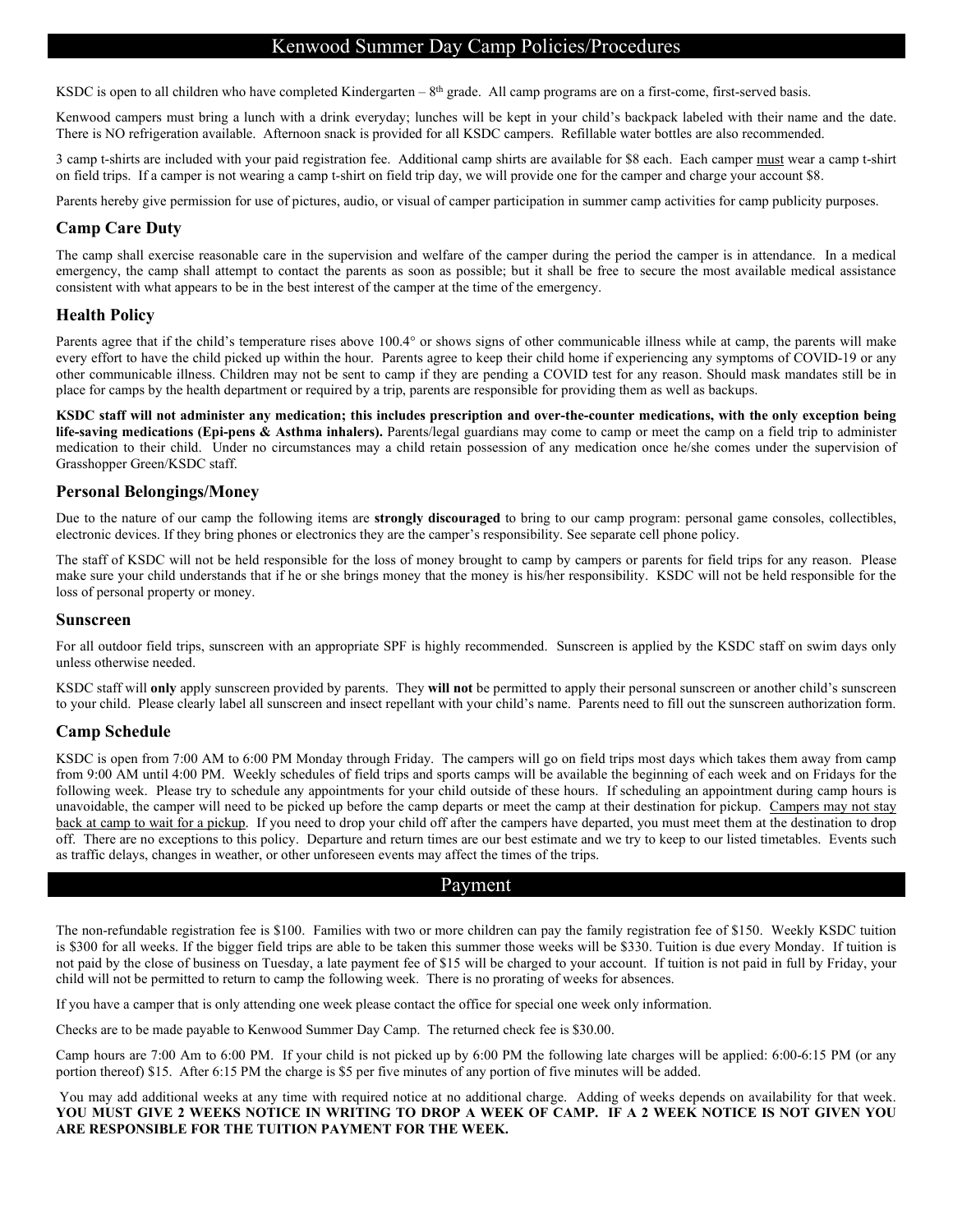# Kenwood Summer Day Camp Policies/Procedures

KSDC is open to all children who have completed Kindergarten –  $8<sup>th</sup>$  grade. All camp programs are on a first-come, first-served basis.

Kenwood campers must bring a lunch with a drink everyday; lunches will be kept in your child's backpack labeled with their name and the date. There is NO refrigeration available. Afternoon snack is provided for all KSDC campers. Refillable water bottles are also recommended.

3 camp t-shirts are included with your paid registration fee. Additional camp shirts are available for \$8 each. Each camper must wear a camp t-shirt on field trips. If a camper is not wearing a camp t-shirt on field trip day, we will provide one for the camper and charge your account \$8.

Parents hereby give permission for use of pictures, audio, or visual of camper participation in summer camp activities for camp publicity purposes.

# **Camp Care Duty**

The camp shall exercise reasonable care in the supervision and welfare of the camper during the period the camper is in attendance. In a medical emergency, the camp shall attempt to contact the parents as soon as possible; but it shall be free to secure the most available medical assistance consistent with what appears to be in the best interest of the camper at the time of the emergency.

# **Health Policy**

Parents agree that if the child's temperature rises above 100.4° or shows signs of other communicable illness while at camp, the parents will make every effort to have the child picked up within the hour. Parents agree to keep their child home if experiencing any symptoms of COVID-19 or any other communicable illness. Children may not be sent to camp if they are pending a COVID test for any reason. Should mask mandates still be in place for camps by the health department or required by a trip, parents are responsible for providing them as well as backups.

**KSDC staff will not administer any medication; this includes prescription and over-the-counter medications, with the only exception being life-saving medications (Epi-pens & Asthma inhalers).** Parents/legal guardians may come to camp or meet the camp on a field trip to administer medication to their child. Under no circumstances may a child retain possession of any medication once he/she comes under the supervision of Grasshopper Green/KSDC staff.

### **Personal Belongings/Money**

Due to the nature of our camp the following items are **strongly discouraged** to bring to our camp program: personal game consoles, collectibles, electronic devices. If they bring phones or electronics they are the camper's responsibility. See separate cell phone policy.

The staff of KSDC will not be held responsible for the loss of money brought to camp by campers or parents for field trips for any reason. Please make sure your child understands that if he or she brings money that the money is his/her responsibility. KSDC will not be held responsible for the loss of personal property or money.

#### **Sunscreen**

For all outdoor field trips, sunscreen with an appropriate SPF is highly recommended. Sunscreen is applied by the KSDC staff on swim days only unless otherwise needed.

KSDC staff will **only** apply sunscreen provided by parents. They **will not** be permitted to apply their personal sunscreen or another child's sunscreen to your child. Please clearly label all sunscreen and insect repellant with your child's name. Parents need to fill out the sunscreen authorization form.

# **Camp Schedule**

KSDC is open from 7:00 AM to 6:00 PM Monday through Friday. The campers will go on field trips most days which takes them away from camp from 9:00 AM until 4:00 PM. Weekly schedules of field trips and sports camps will be available the beginning of each week and on Fridays for the following week. Please try to schedule any appointments for your child outside of these hours. If scheduling an appointment during camp hours is unavoidable, the camper will need to be picked up before the camp departs or meet the camp at their destination for pickup. Campers may not stay back at camp to wait for a pickup. If you need to drop your child off after the campers have departed, you must meet them at the destination to drop off. There are no exceptions to this policy. Departure and return times are our best estimate and we try to keep to our listed timetables. Events such as traffic delays, changes in weather, or other unforeseen events may affect the times of the trips.

# Payment

The non-refundable registration fee is \$100. Families with two or more children can pay the family registration fee of \$150. Weekly KSDC tuition is \$300 for all weeks. If the bigger field trips are able to be taken this summer those weeks will be \$330. Tuition is due every Monday. If tuition is not paid by the close of business on Tuesday, a late payment fee of \$15 will be charged to your account. If tuition is not paid in full by Friday, your child will not be permitted to return to camp the following week. There is no prorating of weeks for absences.

If you have a camper that is only attending one week please contact the office for special one week only information.

Checks are to be made payable to Kenwood Summer Day Camp. The returned check fee is \$30.00.

Camp hours are 7:00 Am to 6:00 PM. If your child is not picked up by 6:00 PM the following late charges will be applied: 6:00-6:15 PM (or any portion thereof) \$15. After 6:15 PM the charge is \$5 per five minutes of any portion of five minutes will be added.

You may add additional weeks at any time with required notice at no additional charge. Adding of weeks depends on availability for that week. **YOU MUST GIVE 2 WEEKS NOTICE IN WRITING TO DROP A WEEK OF CAMP. IF A 2 WEEK NOTICE IS NOT GIVEN YOU ARE RESPONSIBLE FOR THE TUITION PAYMENT FOR THE WEEK.**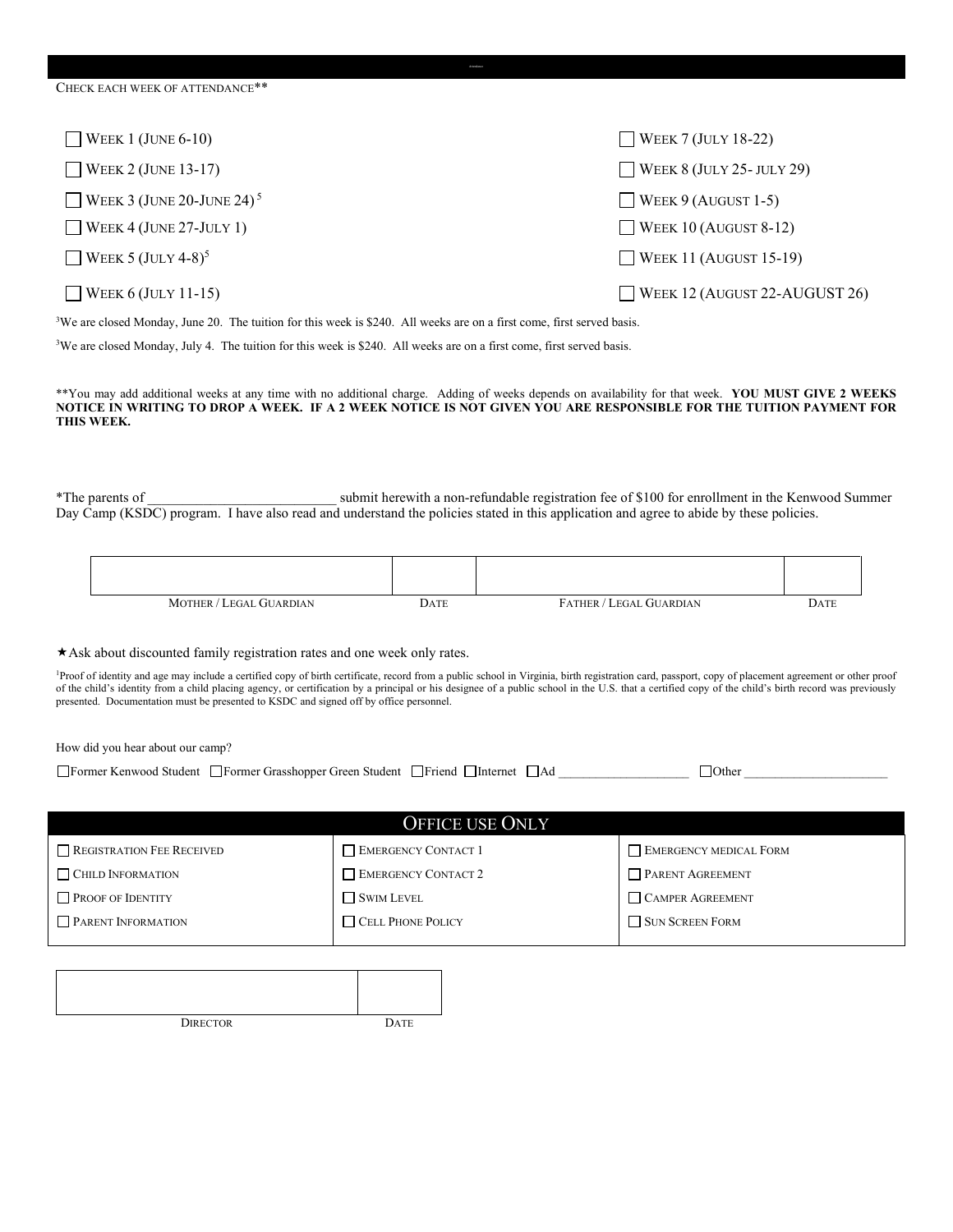| CHECK EACH WEEK OF ATTENDANCE**       |                               |
|---------------------------------------|-------------------------------|
| WEEK 1 (JUNE $6-10$ )                 | WEEK 7 (JULY 18-22)           |
| WEEK 2 (JUNE 13-17)                   | WEEK 8 (JULY 25 - JULY 29)    |
| WEEK 3 (JUNE 20-JUNE 24) <sup>5</sup> | WEEK 9 (AUGUST 1-5)           |
| WEEK 4 (JUNE 27-JULY 1)               | WEEK 10 (AUGUST 8-12)         |
| WEEK 5 (JULY 4-8) <sup>5</sup>        | WEEK 11 (AUGUST 15-19)        |
| WEEK $6$ (JULY 11-15)                 | WEEK 12 (AUGUST 22-AUGUST 26) |

<sup>3</sup>We are closed Monday, June 20. The tuition for this week is \$240. All weeks are on a first come, first served basis.

<sup>3</sup>We are closed Monday, July 4. The tuition for this week is \$240. All weeks are on a first come, first served basis.

\*\*You may add additional weeks at any time with no additional charge. Adding of weeks depends on availability for that week. **YOU MUST GIVE 2 WEEKS NOTICE IN WRITING TO DROP A WEEK. IF A 2 WEEK NOTICE IS NOT GIVEN YOU ARE RESPONSIBLE FOR THE TUITION PAYMENT FOR THIS WEEK.** 

\*The parents of \_\_\_\_\_\_\_\_\_\_\_\_\_\_\_\_\_\_\_\_\_\_\_\_\_\_\_ submit herewith a non-refundable registration fee of \$100 for enrollment in the Kenwood Summer Day Camp (KSDC) program. I have also read and understand the policies stated in this application and agree to abide by these policies.

| MOTHER / LEGAL GUARDIAN | Date | $FATHER/$ .<br>/ LEGAL GUARDIAN | DATE |
|-------------------------|------|---------------------------------|------|

Ask about discounted family registration rates and one week only rates.

Proof of identity and age may include a certified copy of birth certificate, record from a public school in Virginia, birth registration card, passport, copy of placement agreement or other proof of the child's identity from a child placing agency, or certification by a principal or his designee of a public school in the U.S. that a certified copy of the child's birth record was previously presented. Documentation must be presented to KSDC and signed off by office personnel.

How did you hear about our camp?

| Former Grasshopper Green Student<br>- IFormer Kenwood Student | <b>Friend</b><br>Internet | 1 A C | <b>Other</b> |
|---------------------------------------------------------------|---------------------------|-------|--------------|
|---------------------------------------------------------------|---------------------------|-------|--------------|

| <b>OFFICE USE ONLY</b>    |                          |                               |  |
|---------------------------|--------------------------|-------------------------------|--|
| REGISTRATION FEE RECEIVED | EMERGENCY CONTACT 1      | <b>EMERGENCY MEDICAL FORM</b> |  |
| CHILD INFORMATION         | EMERGENCY CONTACT 2      | <b>PARENT AGREEMENT</b>       |  |
| <b>PROOF OF IDENTITY</b>  | SWIM LEVEL               | CAMPER AGREEMENT              |  |
| <b>PARENT INFORMATION</b> | <b>CELL PHONE POLICY</b> | SUN SCREEN FORM               |  |
|                           |                          |                               |  |

| <b>DIRECTOR</b> | <b>DATE</b> |
|-----------------|-------------|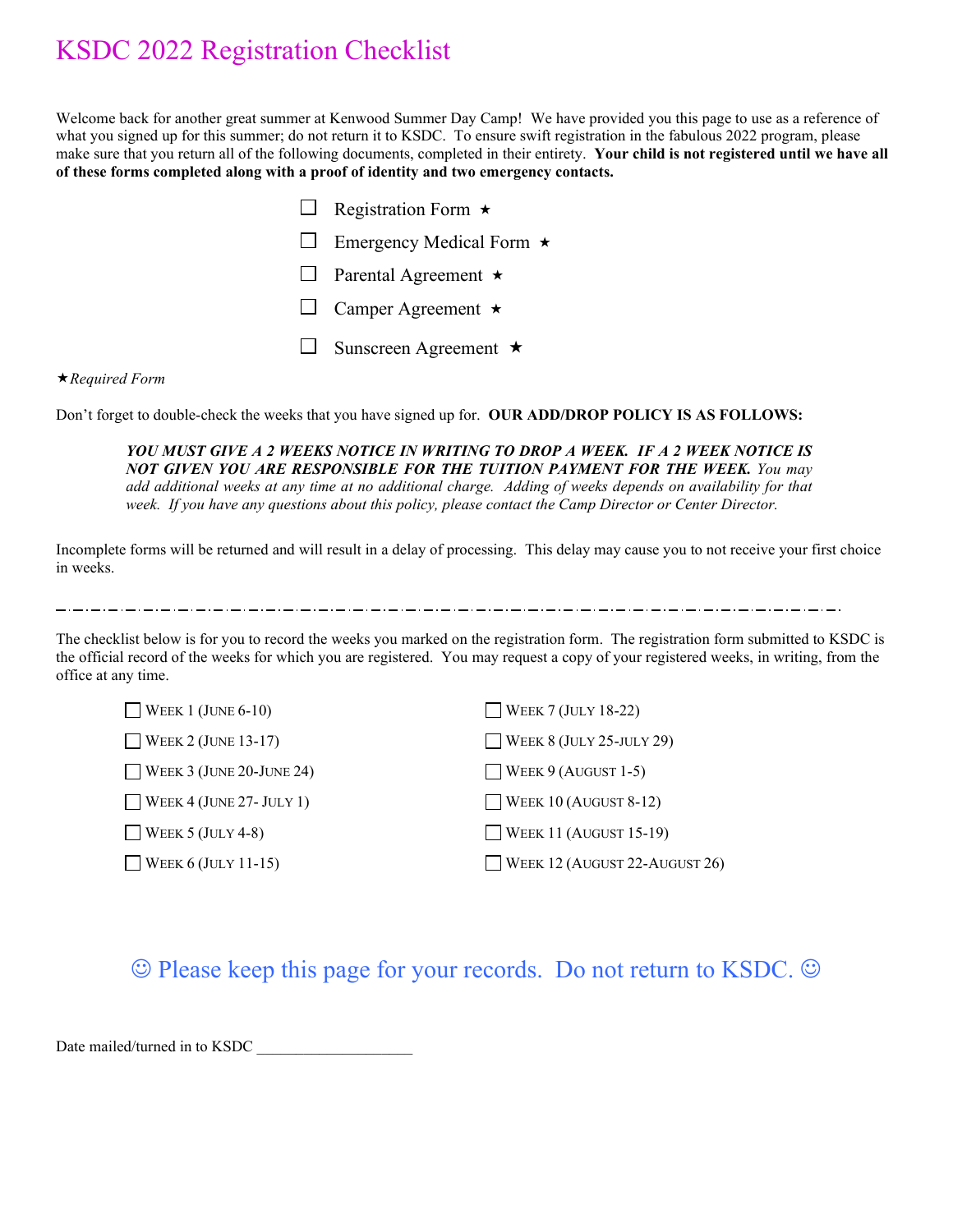# KSDC 2022 Registration Checklist

Welcome back for another great summer at Kenwood Summer Day Camp! We have provided you this page to use as a reference of what you signed up for this summer; do not return it to KSDC. To ensure swift registration in the fabulous 2022 program, please make sure that you return all of the following documents, completed in their entirety. **Your child is not registered until we have all of these forms completed along with a proof of identity and two emergency contacts.**

|              | Registration Form $\star$       |
|--------------|---------------------------------|
| $\mathbf{L}$ | Emergency Medical Form $\star$  |
| $\mathbf{L}$ | Parental Agreement $\star$      |
|              | $\Box$ Camper Agreement $\star$ |
| $\mathbb{Z}$ | Sunscreen Agreement $\star$     |

### *Required Form*

Don't forget to double-check the weeks that you have signed up for. **OUR ADD/DROP POLICY IS AS FOLLOWS:**

YOU MUST GIVE A 2 WEEKS NOTICE IN WRITING TO DROP A WEEK. IF A 2 WEEK NOTICE IS *NOT GIVEN YOU ARE RESPONSIBLE FOR THE TUITION PAYMENT FOR THE WEEK. You may add additional weeks at any time at no additional charge. Adding of weeks depends on availability for that week. If you have any questions about this policy, please contact the Camp Director or Center Director.*

Incomplete forms will be returned and will result in a delay of processing. This delay may cause you to not receive your first choice in weeks.

المرامي مواريد المرامي ومرامي والمرامي والمرامي والمرامي والمرامي والمرامي والمرامي والمرامي والمرامي والمرامي والمرامي

The checklist below is for you to record the weeks you marked on the registration form. The registration form submitted to KSDC is the official record of the weeks for which you are registered. You may request a copy of your registered weeks, in writing, from the office at any time.

| $\Box$ WEEK 1 (JUNE 6-10)  | $\Box$ WEEK 7 (JULY 18-22)    |
|----------------------------|-------------------------------|
| $\Box$ WEEK 2 (JUNE 13-17) | WEEK 8 (JULY 25-JULY 29)      |
| WEEK 3 (JUNE 20-JUNE 24)   | $\Box$ WEEK 9 (AUGUST 1-5)    |
| WEEK 4 (JUNE 27- JULY 1)   | $\Box$ WEEK 10 (AUGUST 8-12)  |
| $\Box$ WEEK 5 (JULY 4-8)   | $\Box$ WEEK 11 (AUGUST 15-19) |
| WEEK 6 (JULY 11-15)        | WEEK 12 (AUGUST 22-AUGUST 26) |

 $\odot$  Please keep this page for your records. Do not return to KSDC.  $\odot$ 

Date mailed/turned in to KSDC